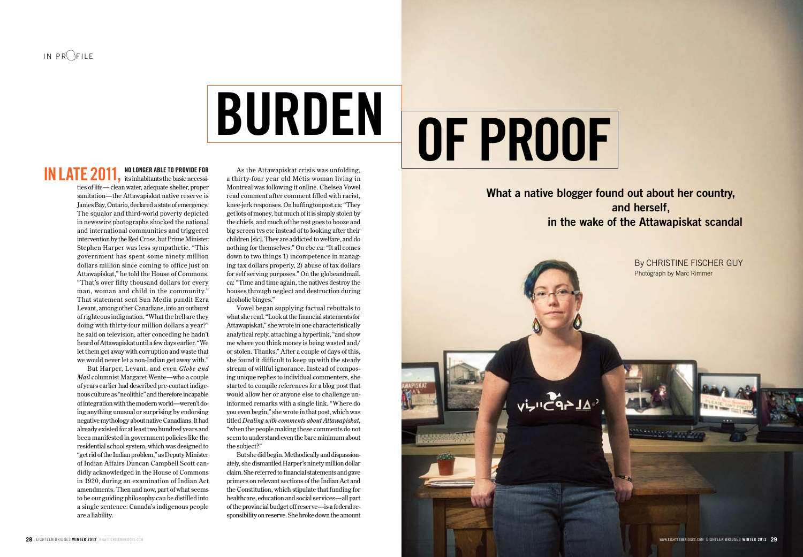# **Burden**

#### **no longer able to provide FOR IN LATE 2011, NO LONGER ABLE TO PROVIDE FOR**

ties of life— clean water, adequate shelter, proper sanitation—the Attawapiskat native reserve is James Bay, Ontario, declared a state of emergency. The squalor and third-world poverty depicted in newswire photographs shocked the national and international communities and triggered intervention by the Red Cross, but Prime Minister Stephen Harper was less sympathetic. "This government has spent some ninety million dollars million since coming to office just on Attawapiskat," he told the House of Commons. "That's over fifty thousand dollars for every man, woman and child in the community." That statement sent Sun Media pundit Ezra Levant, among other Canadians, into an outburst of righteous indignation. "What the hell are they doing with thirty-four million dollars a year?" he said on television, after conceding he hadn't heard of Attawapiskat until a few days earlier. "We let them get away with corruption and waste that we would never let a non-Indian get away with."

But Harper, Levant, and even *Globe and Mail* columnist Margaret Wente—who a couple of years earlier had described pre-contact indigenous culture as "neolithic" and therefore incapable of integration with the modern world—weren't doing anything unusual or surprising by endorsing negative mythology about native Canadians. It had already existed for at least two hundred years and been manifested in government policies like the residential school system, which was designed to "get rid of the Indian problem," as Deputy Minister of Indian Affairs Duncan Campbell Scott candidly acknowledged in the House of Commons in 1920, during an examination of Indian Act amendments. Then and now, part of what seems to be our guiding philosophy can be distilled into a single sentence: Canada's indigenous people are a liability.

As the Attawapiskat crisis was unfolding, a thirty-four year old Métis woman living in Montreal was following it online. Chelsea Vowel read comment after comment filled with racist, knee-jerk responses. On huffingtonpost.ca: "They get lots of money, but much of it is simply stolen by the chiefs, and much of the rest goes to booze and big screen tvs etc instead of to looking after their children [sic]. They are addicted to welfare, and do nothing for themselves." On cbc.ca: "It all comes down to two things 1) incompetence in managing tax dollars properly, 2) abuse of tax dollars for self serving purposes." On the globeandmail. ca: "Time and time again, the natives destroy the houses through neglect and destruction during alcoholic binges."

Vowel began supplying factual rebuttals to what she read. "Look at the financial statements for Attawapiskat," she wrote in one characteristically analytical reply, attaching a hyperlink, "and show me where you think money is being wasted and/ or stolen. Thanks." After a couple of days of this, she found it difficult to keep up with the steady stream of willful ignorance. Instead of composing unique replies to individual commenters, she started to compile references for a blog post that would allow her or anyone else to challenge uninformed remarks with a single link. "Where do you even begin," she wrote in that post, which was titled *Dealing with comments about Attawapiskat*, "when the people making these comments do not seem to understand even the bare minimum about the subject?"

But she did begin. Methodically and dispassionately, she dismantled Harper's ninety million dollar claim. She referred to financial statements and gave primers on relevant sections of the Indian Act and the Constitution, which stipulate that funding for healthcare, education and social services—all part of the provincial budget off reserve—is a federal responsibility on reserve. She broke down the amount

# **of Proof**

 **What a native blogger found out about her country, and herself, in the wake of the Attawapiskat scandal**

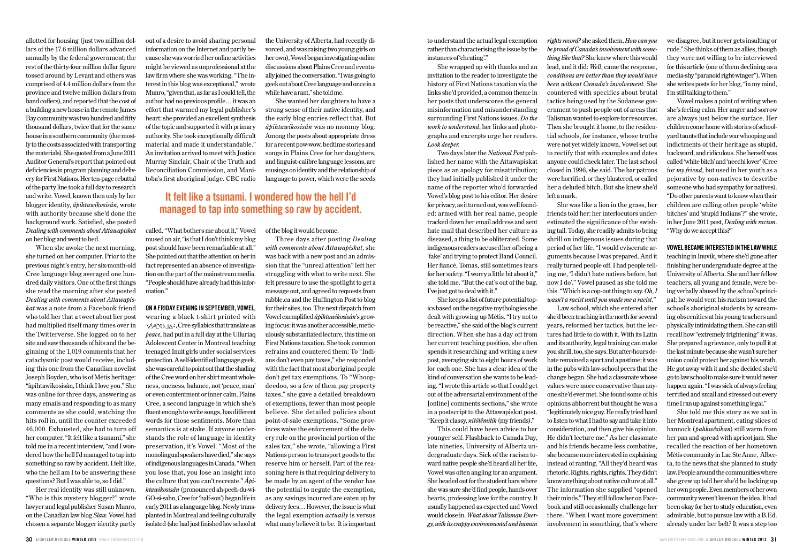allotted for housing (just two million dollars of the 17.6 million dollars advanced annually by the federal government; the rest of the thirty-four million dollar figure tossed around by Levant and others was comprised of 4.4 million dollars from the province and twelve million dollars from band coffers), and reported that the cost of a building a new house in the remote James Bay community was two hundred and fifty thousand dollars, twice that for the same house in a southern community (due mostly to the costs associated with transporting the materials). She quoted from a June 2011 Auditor General's report that pointed out deficiencies in program planning and delivery for First Nations. Her ten-page rebuttal of the party line took a full day to research and write. Vowel, known then only by her blogger identity, *âpihtawikosisân*, wrote with authority because she'd done the background work. Satisfied, she posted *Dealing with comments about Attawapiskat* on her blog and went to bed.

When she awoke the next morning, she turned on her computer. Prior to the previous night's entry, her six-month-old Cree language blog averaged one hundred daily visitors. One of the first things she read the morning after she posted *Dealing with comments about Attawapiskat* was a note from a Facebook friend who told her that a tweet about her post had multiplied itself many times over in the Twitterverse. She logged on to her site and saw thousands of hits and the beginning of the 1,019 comments that her cataclysmic post would receive, including this one from the Canadian novelist Joseph Boyden, who is of Métis heritage: "âpihtawikosisân, I think I love you." She was online for three days, answering as many emails and responding to as many comments as she could, watching the hits roll in, until the counter exceeded 46,000. Exhausted, she had to turn off her computer. "It felt like a tsunami," she told me in a recent interview, "and I wondered how the hell I'd managed to tap into something so raw by accident. I felt like, who the hell am I to be answering these questions? But I was able to, so I did."

Her real identity was still unknown. "Who is this mystery blogger?" wrote lawyer and legal publisher Susan Munro, on the Canadian law blog *Slaw*. Vowel had chosen a separate blogger identity partly

out of a desire to avoid sharing personal information on the Internet and partly because she was worried her online activities might be viewed as unprofessional at the law firm where she was working. "The interest in this blog was exceptional," wrote Munro, "given that, as far as I could tell, the author had no previous profile… it was an effort that warmed my legal publisher's heart: she provided an excellent synthesis of the topic and supported it with primary authority. She took exceptionally difficult material and made it understandable." An invitation arrived to meet with Justice Murray Sinclair, Chair of the Truth and Reconciliation Commission, and Manitoba's first aboriginal judge. CBC radio

the University of Alberta, had recently divorced, and was raising two young girls on her own), Vowel began investigating online discussions about Plains Cree and eventually joined the conversation. "I was going to geek out about Cree language and once in a while have a rant," she told me.

She wanted her daughters to have a strong sense of their native identity, and the early blog entries reflect that. But *âpihtawikosisân* was no mommy blog. Among the posts about appropriate dress for a recent pow-wow, bedtime stories and songs in Plains Cree for her daughters, and linguist-calibre language lessons, are musings on identity and the relationship of language to power, which were the seeds

### **It felt like a tsunami. I wondered how the hell I'd managed to tap into something so raw by accident.**

called. "What bothers me about it," Vowel mused on air, "is that I don't think my blog post should have been remarkable at all." She pointed out that the attention on her in fact represented an absence of investigation on the part of the mainstream media. "People should have already had this information."

#### **On a Friday evening in September, Vowel,**

wearing a black t-shirt printed with ᐯᐯᐯᐯᐯᐯᐯᐯᐯ, Cree syllabics that translate as *peace*, had put in a full day at the Ulluriaq Adolescent Center in Montreal teaching teenaged Inuit girls under social services protection. A self-identified language geek, she was careful to point out that the shading of the Cree word on her shirt meant wholeness, oneness, balance, not 'peace, man' or even contentment or inner calm. Plains Cree, a second language in which she's fluent enough to write songs, has different words for those sentiments. More than semantics is at stake. If anyone understands the role of language in identity preservation, it's Vowel. "Most of the monolingual speakers have died," she says of indigenous languages in Canada. "When you lose that, you lose an insight into the culture that you can't recreate." *Âpihtawikosisân* (pronounced ah-peeh-du-wi-GO-si-sahn, Cree for 'half-son') began life in early 2011 as a language blog. Newly transplanted in Montreal and feeling culturally isolated (she had just finished law school at

of the blog it would become.

Three days after posting *Dealing with comments about Attawapiskat*, she was back with a new post and an admission that the "unreal attention" left her struggling with what to write next. She felt pressure to use the spotlight to get a message out, and agreed to requests from rabble.ca and the Huffington Post to blog for their sites, too. The next dispatch from Vowel exemplified *âpihtawikosisân*'s growing focus: it was another accessible, meticulously substantiated lecture, this time on First Nations taxation. She took common refrains and countered them: To "Indians don't even pay taxes," she responded with the fact that most aboriginal people don't get tax exemptions. To "Whoopdeedoo, so a few of them pay property taxes," she gave a detailed breakdown of exemptions, fewer than most people believe. She detailed policies about point-of-sale exemptions. "Some provinces waive the enforcement of the delivery rule on the provincial portion of the sales tax," she wrote, "allowing a First Nations person to transport goods to the reserve him or herself. Part of the reasoning here is that requiring delivery to be made by an agent of the vendor has the potential to negate the exemption, as any savings incurred are eaten up by delivery fees… However, the issue is what the legal exemption *actually* is versus what many believe it to be. It is important

to understand the actual legal exemption rather than characterising the issue by the instances of 'cheating'."

She wrapped up with thanks and an invitation to the reader to investigate the history of First Nations taxation via the links she'd provided, a common theme in her posts that underscores the general misinformation and misunderstanding surrounding First Nations issues. *Do the work to understand*, her links and photographs and excerpts urge her readers. *Look deeper*.

Two days later the *National Post* published her name with the Attawapiskat piece as an apology for misattribution; they had initially published it under the name of the reporter who'd forwarded Vowel's blog post to his editor. Her desire for privacy, as it turned out, was well founded: armed with her real name, people tracked down her email address and sent hate mail that described her culture as diseased, a thing to be obliterated. Some indigenous readers accused her of being a 'fake' and trying to protect Band Council. Her fiancé, Tomas, still sometimes fears for her safety. "I worry a little bit about it," she told me. "But the cat's out of the bag. I've just got to deal with it."

She keeps a list of future potential topics based on the negative mythologies she dealt with growing up Métis. "I try not to be reactive," she said of the blog's current direction. When she has a day off from her current teaching position, she often spends it researching and writing a new post, averaging six to eight hours of work for each one. She has a clear idea of the kind of conversation she wants to be leading. "I wrote this article so that I could get out of the adversarial environment of the [online] comments sections," she wrote in a postscript to the Attawapiskat post. "Keep it classy, *nitôtêmitik* (my friends)."

This could have been advice to her younger self. Flashback to Canada Day, late nineties, University of Alberta undergraduate days. Sick of the racism toward native people she'd heard all her life, Vowel was often angling for an argument. She headed out for the student bars where she was sure she'd find people, hands over hearts, professing love for the country. It usually happened as expected and Vowel would close in. *What about Talisman Energy, with its crappy environmental and human*

*rights record?* she asked them. *How can you be proud of Canada's involvement with something like that?* She knew where this would lead, and it did: *Well*, came the response, *conditions are better than they would have been without Canada's involvement.* She countered with specifics about brutal tactics being used by the Sudanese government to push people out of areas that Talisman wanted to explore for resources. Then she brought it home, to the residential schools, for instance, whose truths were not yet widely known. Vowel set out to rectify that with examples and dates anyone could check later. The last school closed in 1996, she said. The bar patrons were horrified, or they blustered, or called her a deluded bitch. But she knew she'd left a mark.

She was like a lion in the grass, her friends told her: her interlocutors underestimated the significance of the swishing tail. Today, she readily admits to being shrill on indigenous issues during that period of her life. "I would eviscerate arguments because I was prepared. And it really turned people off. I had people telling me, 'I didn't hate natives before, but now I do'." Vowel paused as she told me this. "Which is a cop-out thing to say. *Oh, I wasn't a racist until you made me a racist.*"

Law school, which she entered after she'd been teaching in the north for several years, reformed her tactics, but the lectures had little to do with it. With its Latin and its authority, legal training can make you shrill, too, she says. But after-hours debate remained a sport and a pastime; it was in the pubs with law-school peers that the change began. She had a classmate whose values were more conservative than anyone she'd ever met. She found some of his opinions abhorrent but thought he was a "legitimately nice guy. He really tried hard to listen to what I had to say and take it into consideration, and then give his opinion. He didn't lecture me." As her classmate and his friends became less combative, she became more interested in explaining instead of ranting. "All they'd heard was rhetoric. Rights, rights, rights. They didn't know anything about native culture at all." The information she supplied "opened their minds." They still follow her on Facebook and still occasionally challenge her there. "When I want more government involvement in something, that's where we disagree, but it never gets insulting or rude." She thinks of them as allies, though they were not willing to be interviewed for this article (one of them declining as a media-shy "paranoid right-winger"). When she writes posts for her blog, "in my mind, I'm still talking to them."

Vowel makes a point of writing when she's feeling calm. Her anger and sorrow are always just below the surface. Her children come home with stories of schoolyard taunts that include war whooping and indictments of their heritage as stupid, backward, and ridiculous. She herself was called 'white bitch' and 'neechi lover' (Cree for *my friend,* but used in her youth as a pejorative by non-natives to describe someone who had sympathy for natives). "Do other parents want to know when their children are calling other people 'white bitches' and 'stupid Indians'?" she wrote, in her June 2011 post, *Dealing with racism*. "Why do we accept this?"

#### **Vowel became interested in the lawwhile**

teaching in Inuvik, where she'd gone after finishing her undergraduate degree at the University of Alberta. She and her fellow teachers, all young and female, were being verbally abused by the school's principal; he would vent his racism toward the school's aboriginal students by screaming obscenities at his young teachers and physically intimidating them. She can still recall how "extremely frightening" it was. She prepared a grievance, only to pull it at the last minute because she wasn't sure her union could protect her against his wrath. He got away with it and she decided she'd go to law school to make sure it would never happen again. "I was sick of always feeling terrified and small and stressed out every time I ran up against something legal."

She told me this story as we sat in her Montreal apartment, eating slices of bannock (*pahkwêsikan*) still warm from her pan and spread with apricot jam. She recalled the reaction of her hometown Métis community in Lac Ste Anne, Alberta, to the news that she planned to study law. People around the communities where she grew up told her she'd be locking up her own people. Even members of her own community weren't keen on the idea. It had been okay for her to study education, even admirable, but to pursue law with a B.Ed. already under her belt? It was a step too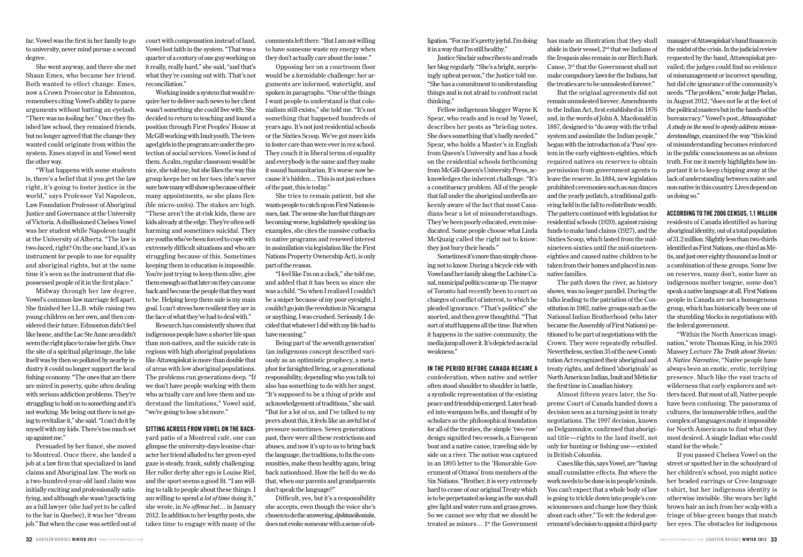far. Vowel was the first in her family to go to university, never mind pursue a second degree.

She went anyway, and there she met Shaun Emes, who became her friend. Both wanted to effect change. Emes, now a Crown Prosecutor in Edmonton, remembers citing Vowel's ability to parse arguments without batting an eyelash. "There was no fooling her." Once they finished law school, they remained friends, but no longer agreed that the change they wanted could originate from within the system. Emes stayed in and Vowel went the other way.

"What happens with some students is, there's a belief that if you get the law right, it's going to foster justice in the world," says Professor Val Napoleon, Law Foundation Professor of Aboriginal Justice and Governance at the University of Victoria. A disillusioned Chelsea Vowel was her student while Napoleon taught at the University of Alberta. "The law is two-faced, right? On the one hand, it's an instrument for people to use for equality and aboriginal rights, but at the same time it's seen as the instrument that dispossessed people of it in the first place."

Midway through her law degree, Vowel's common-law marriage fell apart. She finished her LL.B. while raising two young children on her own, and then considered their future. Edmonton didn't feel like home, and the Lac Ste Anne area didn't seem the right place to raise her girls. Once the site of a spiritual pilgrimage, the lake itself was by then so polluted by nearby industry it could no longer support the local fishing economy. "The ones that are there are mired in poverty, quite often dealing with serious addiction problems. They're struggling to hold on to something and it's not working. Me being out there is not going to revitalize it," she said. "I can't do it by myself with my kids. There's too much set up against me."

Persuaded by her fiancé, she moved to Montreal. Once there, she landed a job at a law firm that specialized in land claims and Aboriginal law. The work on a two-hundred-year-old land claim was initially exciting and professionally satisfying, and although she wasn't practicing as a full lawyer (she had yet to be called to the bar in Quebec), it was her "dream job." But when the case was settled out of

court with compensation instead of land, Vowel lost faith in the system. "That was a quarter of a century of one guy working on it really, really hard," she said, "and that's what they're coming out with. That's not reconciliation."

Working inside a system that would require her to deliver such news to her client wasn't something she could live with. She decided to return to teaching and found a position through First Peoples' House at McGill working with Inuit youth. The teenaged girls in the program are under the protection of social services. Vowel is fond of them. A calm, regular classroom would be nice, she told me, but she likes the way this group keeps her on her toes (she's never sure how many will show up because of their many appointments, so she plans flexible micro-units). The stakes are high. "These aren't the at-risk kids, these are kids already at the edge. They're often selfharming and sometimes suicidal. They are youths who've been forced to cope with extremely difficult situations and who are struggling because of this. Sometimes keeping them in education is impossible. You're just trying to keep them alive, give them enough so that later on they can come back and become the people that they want to be. Helping keep them safe is my main goal. I can't stress how resilient they are in the face of what they've had to deal with."

Research has consistently shown that indigenous people have a shorter life span than non-natives, and the suicide rate in regions with high aboriginal populations like Attawapiskat is more than double that of areas with low aboriginal populations. The problems run generations deep. "If we don't have people working with them who actually care and love them and understand the limitations," Vowel said, "we're going to lose a lot more."

#### **Sitting across from Vowel on the back-**

yard patio of a Montreal café, one can glimpse the university-days leonine character her friend alluded to: her green-eyed gaze is steady, frank, subtly challenging. Her roller derby alter ego is Louise Riel, and the sport seems a good fit. "I am willing to talk to people about these things. I am willing to spend *a lot of time* doing it," she wrote, in *No offense but*… in January 2012. In addition to her lengthy posts, she takes time to engage with many of the comments left there. "But I am not willing to have someone waste my energy when they don't actually care about the issue."

Opposing her on a courtroom floor would be a formidable challenge: her arguments are informed, watertight, and spoken in paragraphs. "One of the things I want people to understand is that colonialism still exists," she told me. "It's not something that happened hundreds of years ago. It's not just residential schools or the Sixties Scoop. We've got more kids in foster care than were ever in rez school. They couch it in liberal terms of equality and everybody is the same and they make it sound humanitarian. It's worse now because it's hidden… This is not just echoes of the past, this is today."

She tries to remain patient, but she wants people to catch up on First Nations issues, fast. The sense she has that things are becoming worse, legislatively speaking (as examples, she cites the massive cutbacks to native programs and renewed interest in assimilation via legislation like the First Nations Property Ownership Act), is only part of the reason.

"I feel like I'm on a clock," she told me, and added that it has been so since she was a child. "So when I realized I couldn't be a sniper because of my poor eyesight, I couldn't go join the revolution in Nicaragua or anything, I was crushed. Seriously. I decided that whatever I did with my life had to have meaning."

Being part of 'the seventh generation' (an indigenous concept described variously as an optimistic prophecy, a metaphor for farsighted living, or a generational responsibility, depending who you talk to) also has something to do with her angst. "It's supposed to be a thing of pride and acknowledgement of traditions," she said. "But for a lot of us, and I've talked to my peers about this, it feels like an awful lot of pressure sometimes. Seven generations past, there were all these restrictions and abuses, and now it's up to us to bring back the language, the traditions, to fix the communities, make them healthy again, bring back nationhood. How the hell do we do that, when our parents and grandparents don't speak the language?"

Difficult, yes, but it's a responsibility she accepts, even though the voice she's chosen to do the answering, *âpihtawikosisân*, does not evoke someone with a sense of ob-

ligation. "For me it's pretty joyful. I'm doing it in a way that I'm still healthy."

Justice Sinclair subscribes to and reads her blog regularly. "She's a bright, surprisingly upbeat person," the Justice told me. "She has a commitment to understanding things and is not afraid to confront racist thinking."

Fellow indigenous blogger Wayne K Spear, who reads and is read by Vowel, describes her posts as "briefing notes. She does something that's badly needed." Spear, who holds a Master's in English from Queen's University and has a book on the residential schools forthcoming from McGill-Queen's University Press, acknowledges the inherent challenge. "It's a constituency problem. All of the people that fall under the aboriginal umbrella are keenly aware of the fact that most Canadians bear a lot of misunderstandings. They've been poorly educated, even miseducated. Some people choose what Linda McQuaig called the right not to know: they just bury their heads."

Sometimes it's more than simply choosing not to know. During a bicycle ride with Vowel and her family along the Lachine Canal, municipal politics came up. The mayor of Toronto had recently been to court on charges of conflict of interest, to which he pleaded ignorance. "That's politics!" she snorted, and then grew thoughtful. "That sort of stuff happens all the time. But when it happens in the native community, the media jump all over it. It's depicted as racial weakness."

#### **In the period before Canada became a**

confederation, when native and settler often stood shoulder to shoulder in battle, a symbolic representation of the existing peace and friendship emerged. Later beaded into wampum belts, and thought of by scholars as the philosophical foundation for all of the treaties, the simple 'two-row' design signified two vessels, a European boat and a native canoe, traveling side by side on a river. The notion was captured in an 1895 letter to the 'Honorable Government of Ottawa' from members of the Six Nations. "Brother, it is very extremely hard to cease of our original Treaty which is to be perpetuated as long as the sun shall give light and water runs and grass grows. So we cannot see why that we should be treated as minors...  $1^{st}$  the Government

has made an illustration that they shall abide in their vessel, 2nd that we Indians of the Iroquois also remain in our Birch Bark Canoe, 3rd that the Government shall not make compulsory laws for the Indians, but the treaties are to be unmolested forever." But the original agreements did not

remain unmolested forever. Amendments to the Indian Act, first established in 1876 and, in the words of John A. Macdonald in 1887, designed to "do away with the tribal system and assimilate the Indian people," began with the introduction of a 'Pass' system in the early eighteen-eighties, which required natives on reserves to obtain permission from government agents to leave the reserve. In 1884, new legislation prohibited ceremonies such as sun dances and the yearly potlatch, a traditional gathering held in the fall to redistribute wealth. The pattern continued with legislation for residential schools (1920), against raising funds to make land claims (1927), and the Sixties Scoop, which lasted from the midnineteen-sixties until the mid-nineteeneighties and caused native children to be taken from their homes and placed in nonnative families.

The path down the river, as history shows, was no longer parallel. During the talks leading to the patriation of the Constitution in 1982, native groups such as the National Indian Brotherhood (who later became the Assembly of First Nations) petitioned to be part of negotiations with the Crown. They were repeatedly rebuffed. Nevertheless, section 35 of the new Constitution Act recognized their aboriginal and treaty rights, and defined 'aboriginals' as North American Indian, Inuit and Métis for the first time in Canadian history.

Almost fifteen years later, the Supreme Court of Canada handed down a decision seen as a turning point in treaty negotiations. The 1997 decision, known as Delgamuukw, confirmed that aboriginal title—rights to the land itself, not only for hunting or fishing use—existed in British Columbia.

Cases like this, says Vowel, are "having small cumulative effects. But where the work needs to be done is in people's minds. You can't expect that a whole body of law is going to trickle down into people's consciousnesses and change how they think about each other." To wit: the federal government's decision to appoint a third-party

manager of Attawapiskat's band finances in the midst of the crisis. In the judicial review requested by the band, Attawapiskat prevailed; the judges could find no evidence of mismanagement or incorrect spending, but did cite ignorance of the community's needs. "The problem," wrote Judge Phelan, in August 2012, "does not lie at the feet of the political masters but in the hands of the bureaucracy." Vowel's post, *Attawapiskat: A study in the need to openly address misunderstandings*, examined the way "this kind of misunderstanding becomes reinforced in the public consciousness as an obvious truth. For me it merely highlights how important it is to keep chipping away at the lack of understanding between native and non-native in this country. Lives depend on us doing so."

#### **According to the 2006 census, 1.1 million**

residents of Canada identified as having aboriginal identity, out of a total population of 31.2 million. Slightly less than two-thirds identified as First Nations, one-third as Métis, and just over eighty thousand as Inuit or a combination of these groups. Some live on reserves, many don't, some have an indigenous mother tongue, some don't speak a native language at all. First Nations people in Canada are not a homogenous group, which has historically been one of the stumbling blocks in negotiations with the federal government.

"Within the North American imagination," wrote Thomas King, in his 2003 Massey Lecture *The Truth about Stories: A Native Narrative*, "Native people have always been an exotic, erotic, terrifying presence. Much like the vast tracts of wilderness that early explorers and settlers faced. But most of all, Native people have been confusing. The panorama of cultures, the innumerable tribes, and the complex of languages made it impossible for North Americans to find what they most desired. A single Indian who could stand for the whole."

If you passed Chelsea Vowel on the street or spotted her in the schoolyard of her children's school, you might notice her beaded earrings or Cree-language t-shirt, but her indigenous identity is otherwise invisible. She wears her light brown hair an inch from her scalp with a fringe of blue-green bangs that match her eyes. The obstacles for indigenous